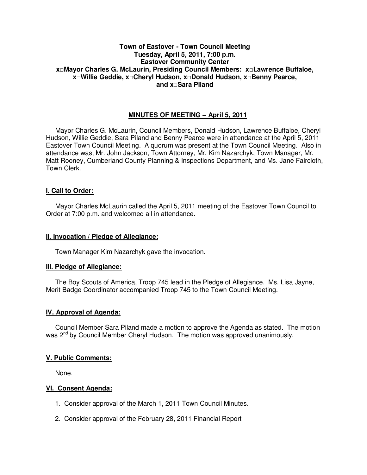## **Town of Eastover - Town Council Meeting Tuesday, April 5, 2011, 7:00 p.m. Eastover Community Center x□Mayor Charles G. McLaurin, Presiding Council Members: x□Lawrence Buffaloe, x□Willie Geddie, x□Cheryl Hudson, x□Donald Hudson, x□Benny Pearce, and x□Sara Piland**

# **MINUTES OF MEETING – April 5, 2011**

Mayor Charles G. McLaurin, Council Members, Donald Hudson, Lawrence Buffaloe, Cheryl Hudson, Willie Geddie, Sara Piland and Benny Pearce were in attendance at the April 5, 2011 Eastover Town Council Meeting. A quorum was present at the Town Council Meeting. Also in attendance was, Mr. John Jackson, Town Attorney, Mr. Kim Nazarchyk, Town Manager, Mr. Matt Rooney, Cumberland County Planning & Inspections Department, and Ms. Jane Faircloth, Town Clerk.

### **I. Call to Order:**

Mayor Charles McLaurin called the April 5, 2011 meeting of the Eastover Town Council to Order at 7:00 p.m. and welcomed all in attendance.

### **II. Invocation / Pledge of Allegiance:**

Town Manager Kim Nazarchyk gave the invocation.

### **III. Pledge of Allegiance:**

 The Boy Scouts of America, Troop 745 lead in the Pledge of Allegiance. Ms. Lisa Jayne, Merit Badge Coordinator accompanied Troop 745 to the Town Council Meeting.

#### **IV. Approval of Agenda:**

 Council Member Sara Piland made a motion to approve the Agenda as stated. The motion was 2<sup>nd</sup> by Council Member Cheryl Hudson. The motion was approved unanimously.

### **V. Public Comments:**

None.

### **VI. Consent Agenda:**

- 1. Consider approval of the March 1, 2011 Town Council Minutes.
- 2. Consider approval of the February 28, 2011 Financial Report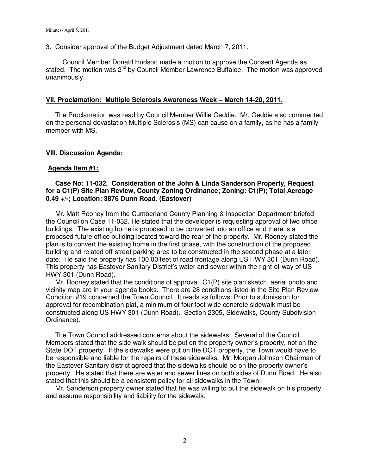3. Consider approval of the Budget Adjustment dated March 7, 2011.

Council Member Donald Hudson made a motion to approve the Consent Agenda as stated. The motion was  $2^{nd}$  by Council Member Lawrence Buffaloe. The motion was approved unanimously.

#### **VII. Proclamation: Multiple Sclerosis Awareness Week – March 14-20, 2011.**

 The Proclamation was read by Council Member Willie Geddie. Mr. Geddie also commented on the personal devastation Multiple Sclerosis (MS) can cause on a family, as he has a family member with MS.

### **VIII. Discussion Agenda:**

### **Agenda Item #1:**

### **Case No: 11-032. Consideration of the John & Linda Sanderson Property, Request for a C1(P) Site Plan Review, County Zoning Ordinance; Zoning: C1(P); Total Acreage 0.49 +/-; Location: 3876 Dunn Road. (Eastover)**

Mr. Matt Rooney from the Cumberland County Planning & Inspection Department briefed the Council on Case 11-032. He stated that the developer is requesting approval of two office buildings. The existing home is proposed to be converted into an office and there is a proposed future office building located toward the rear of the property. Mr. Rooney stated the plan is to convert the existing home in the first phase, with the construction of the proposed building and related off-street parking area to be constructed in the second phase at a later date. He said the property has 100.00 feet of road frontage along US HWY 301 (Dunn Road). This property has Eastover Sanitary District's water and sewer within the right-of-way of US HWY 301 (Dunn Road).

 Mr. Rooney stated that the conditions of approval, C1(P) site plan sketch, aerial photo and vicinity map are in your agenda books. There are 28 conditions listed in the Site Plan Review. Condition #19 concerned the Town Council. It reads as follows: Prior to submission for approval for recombination plat, a minimum of four foot wide concrete sidewalk must be constructed along US HWY 301 (Dunn Road). Section 2305, Sidewalks, County Subdivision Ordinance).

 The Town Council addressed concerns about the sidewalks. Several of the Council Members stated that the side walk should be put on the property owner's property, not on the State DOT property. If the sidewalks were put on the DOT property, the Town would have to be responsible and liable for the repairs of these sidewalks. Mr. Morgan Johnson Chairman of the Eastover Sanitary district agreed that the sidewalks should be on the property owner's property. He stated that there are water and sewer lines on both sides of Dunn Road. He also stated that this should be a consistent policy for all sidewalks in the Town.

 Mr. Sanderson property owner stated that he was willing to put the sidewalk on his property and assume responsibility and liability for the sidewalk.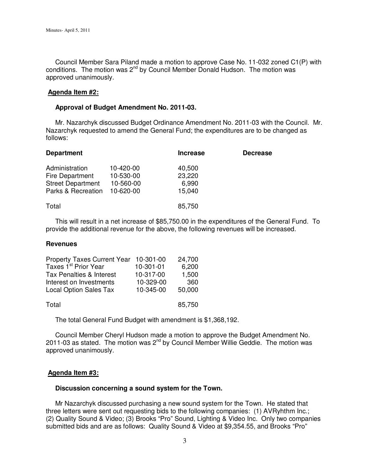Council Member Sara Piland made a motion to approve Case No. 11-032 zoned C1(P) with conditions. The motion was  $2^{nd}$  by Council Member Donald Hudson. The motion was approved unanimously.

### **Agenda Item #2:**

### **Approval of Budget Amendment No. 2011-03.**

 Mr. Nazarchyk discussed Budget Ordinance Amendment No. 2011-03 with the Council. Mr. Nazarchyk requested to amend the General Fund; the expenditures are to be changed as follows:

| <b>Department</b>        |           | <b>Increase</b> | <b>Decrease</b> |
|--------------------------|-----------|-----------------|-----------------|
| Administration           | 10-420-00 | 40,500          |                 |
| Fire Department          | 10-530-00 | 23,220          |                 |
| <b>Street Department</b> | 10-560-00 | 6,990           |                 |
| Parks & Recreation       | 10-620-00 | 15,040          |                 |
| Total                    |           | 85,750          |                 |

 This will result in a net increase of \$85,750.00 in the expenditures of the General Fund. To provide the additional revenue for the above, the following revenues will be increased.

### **Revenues**

| <b>Property Taxes Current Year</b> | 10-301-00 | 24,700 |
|------------------------------------|-----------|--------|
| Taxes 1 <sup>st</sup> Prior Year   | 10-301-01 | 6,200  |
| Tax Penalties & Interest           | 10-317-00 | 1,500  |
| Interest on Investments            | 10-329-00 | 360    |
| <b>Local Option Sales Tax</b>      | 10-345-00 | 50,000 |
| Total                              |           | 85,750 |

The total General Fund Budget with amendment is \$1,368,192.

 Council Member Cheryl Hudson made a motion to approve the Budget Amendment No. 2011-03 as stated. The motion was  $2^{nd}$  by Council Member Willie Geddie. The motion was approved unanimously.

### **Agenda Item #3:**

### **Discussion concerning a sound system for the Town.**

 Mr Nazarchyk discussed purchasing a new sound system for the Town. He stated that three letters were sent out requesting bids to the following companies: (1) AVRyhthm Inc.; (2) Quality Sound & Video; (3) Brooks "Pro" Sound, Lighting & Video Inc. Only two companies submitted bids and are as follows: Quality Sound & Video at \$9,354.55, and Brooks "Pro"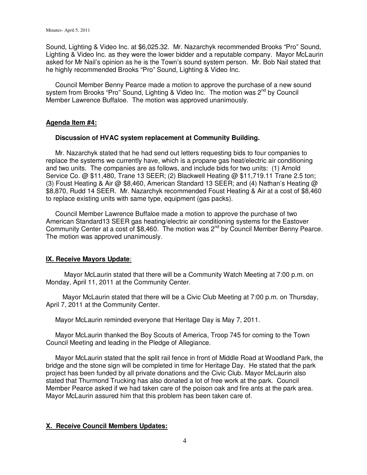Sound, Lighting & Video Inc. at \$6,025.32. Mr. Nazarchyk recommended Brooks "Pro" Sound, Lighting & Video Inc. as they were the lower bidder and a reputable company. Mayor McLaurin asked for Mr Nail's opinion as he is the Town's sound system person. Mr. Bob Nail stated that he highly recommended Brooks "Pro" Sound, Lighting & Video Inc.

 Council Member Benny Pearce made a motion to approve the purchase of a new sound system from Brooks "Pro" Sound, Lighting & Video Inc. The motion was 2<sup>nd</sup> by Council Member Lawrence Buffaloe. The motion was approved unanimously.

### **Agenda Item #4:**

### **Discussion of HVAC system replacement at Community Building.**

 Mr. Nazarchyk stated that he had send out letters requesting bids to four companies to replace the systems we currently have, which is a propane gas heat/electric air conditioning and two units. The companies are as follows, and include bids for two units: (1) Arnold Service Co. @ \$11,480, Trane 13 SEER; (2) Blackwell Heating @ \$11,719.11 Trane 2.5 ton; (3) Foust Heating & Air @ \$8,460, American Standard 13 SEER; and (4) Nathan's Heating @ \$8,870, Rudd 14 SEER. Mr. Nazarchyk recommended Foust Heating & Air at a cost of \$8,460 to replace existing units with same type, equipment (gas packs).

 Council Member Lawrence Buffaloe made a motion to approve the purchase of two American Standard13 SEER gas heating/electric air conditioning systems for the Eastover Community Center at a cost of \$8,460. The motion was  $2^{nd}$  by Council Member Benny Pearce. The motion was approved unanimously.

### **IX. Receive Mayors Update**:

 Mayor McLaurin stated that there will be a Community Watch Meeting at 7:00 p.m. on Monday, April 11, 2011 at the Community Center.

 Mayor McLaurin stated that there will be a Civic Club Meeting at 7:00 p.m. on Thursday, April 7, 2011 at the Community Center.

Mayor McLaurin reminded everyone that Heritage Day is May 7, 2011.

 Mayor McLaurin thanked the Boy Scouts of America, Troop 745 for coming to the Town Council Meeting and leading in the Pledge of Allegiance.

 Mayor McLaurin stated that the split rail fence in front of Middle Road at Woodland Park, the bridge and the stone sign will be completed in time for Heritage Day. He stated that the park project has been funded by all private donations and the Civic Club. Mayor McLaurin also stated that Thurmond Trucking has also donated a lot of free work at the park. Council Member Pearce asked if we had taken care of the poison oak and fire ants at the park area. Mayor McLaurin assured him that this problem has been taken care of.

### **X. Receive Council Members Updates:**